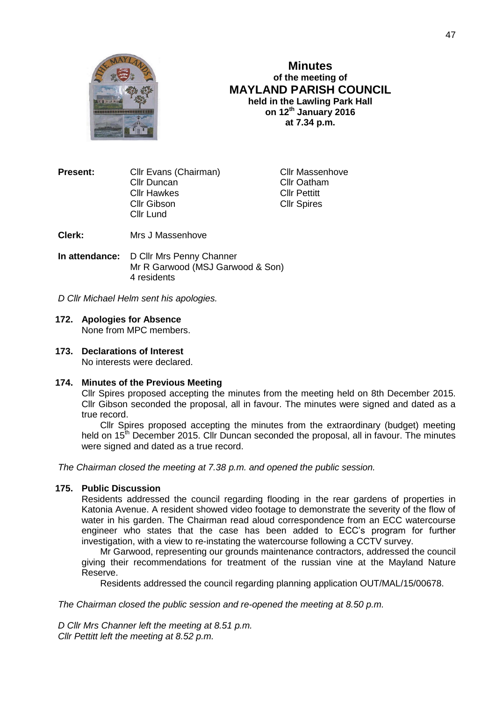

## **Minutes of the meeting of MAYLAND PARISH COUNCIL held in the Lawling Park Hall on 12th January 2016 at 7.34 p.m.**

**Present:** Cllr Evans (Chairman) Cllr Massenhove Cllr Duncan Cllr Oatham Cllr Hawkes Cllr Pettitt Cllr Gibson Cllr Spires Cllr Lund

**Clerk:** Mrs J Massenhove

**In attendance:** D Cllr Mrs Penny Channer Mr R Garwood (MSJ Garwood & Son) 4 residents

*D Cllr Michael Helm sent his apologies.*

# **172. Apologies for Absence**

None from MPC members.

## **173. Declarations of Interest**

No interests were declared.

#### **174. Minutes of the Previous Meeting**

Cllr Spires proposed accepting the minutes from the meeting held on 8th December 2015. Cllr Gibson seconded the proposal, all in favour. The minutes were signed and dated as a true record.

Cllr Spires proposed accepting the minutes from the extraordinary (budget) meeting held on 15<sup>th</sup> December 2015. Cllr Duncan seconded the proposal, all in favour. The minutes were signed and dated as a true record.

*The Chairman closed the meeting at 7.38 p.m. and opened the public session.*

### **175. Public Discussion**

Residents addressed the council regarding flooding in the rear gardens of properties in Katonia Avenue. A resident showed video footage to demonstrate the severity of the flow of water in his garden. The Chairman read aloud correspondence from an ECC watercourse engineer who states that the case has been added to ECC's program for further investigation, with a view to re-instating the watercourse following a CCTV survey.

Mr Garwood, representing our grounds maintenance contractors, addressed the council giving their recommendations for treatment of the russian vine at the Mayland Nature Reserve.

Residents addressed the council regarding planning application OUT/MAL/15/00678.

*The Chairman closed the public session and re-opened the meeting at 8.50 p.m.*

*D Cllr Mrs Channer left the meeting at 8.51 p.m. Cllr Pettitt left the meeting at 8.52 p.m.*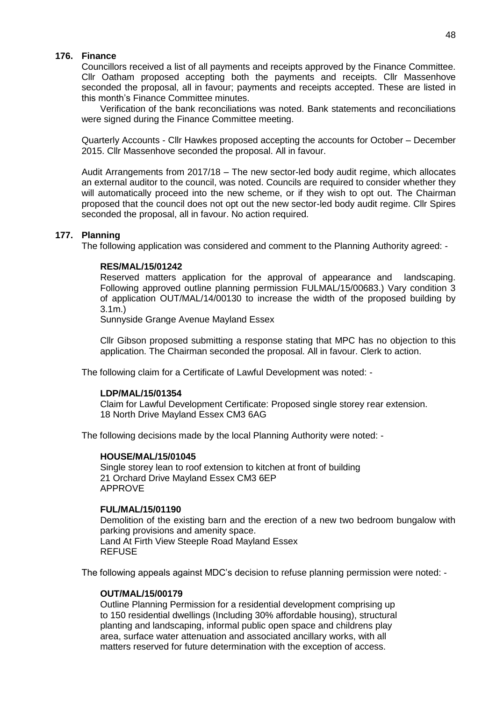### **176. Finance**

Councillors received a list of all payments and receipts approved by the Finance Committee. Cllr Oatham proposed accepting both the payments and receipts. Cllr Massenhove seconded the proposal, all in favour; payments and receipts accepted. These are listed in this month's Finance Committee minutes.

Verification of the bank reconciliations was noted. Bank statements and reconciliations were signed during the Finance Committee meeting.

Quarterly Accounts - Cllr Hawkes proposed accepting the accounts for October – December 2015. Cllr Massenhove seconded the proposal. All in favour.

Audit Arrangements from 2017/18 – The new sector-led body audit regime, which allocates an external auditor to the council, was noted. Councils are required to consider whether they will automatically proceed into the new scheme, or if they wish to opt out. The Chairman proposed that the council does not opt out the new sector-led body audit regime. Cllr Spires seconded the proposal, all in favour. No action required.

#### **177. Planning**

The following application was considered and comment to the Planning Authority agreed: -

#### **RES/MAL/15/01242**

Reserved matters application for the approval of appearance and landscaping. Following approved outline planning permission FULMAL/15/00683.) Vary condition 3 of application OUT/MAL/14/00130 to increase the width of the proposed building by 3.1m.)

Sunnyside Grange Avenue Mayland Essex

Cllr Gibson proposed submitting a response stating that MPC has no objection to this application. The Chairman seconded the proposal. All in favour. Clerk to action.

The following claim for a Certificate of Lawful Development was noted: -

#### **LDP/MAL/15/01354**

Claim for Lawful Development Certificate: Proposed single storey rear extension. 18 North Drive Mayland Essex CM3 6AG

The following decisions made by the local Planning Authority were noted: -

#### **HOUSE/MAL/15/01045**

Single storey lean to roof extension to kitchen at front of building 21 Orchard Drive Mayland Essex CM3 6EP APPROVE

### **FUL/MAL/15/01190**

Demolition of the existing barn and the erection of a new two bedroom bungalow with parking provisions and amenity space. Land At Firth View Steeple Road Mayland Essex REFUSE

The following appeals against MDC's decision to refuse planning permission were noted: -

#### **OUT/MAL/15/00179**

Outline Planning Permission for a residential development comprising up to 150 residential dwellings (Including 30% affordable housing), structural planting and landscaping, informal public open space and childrens play area, surface water attenuation and associated ancillary works, with all matters reserved for future determination with the exception of access.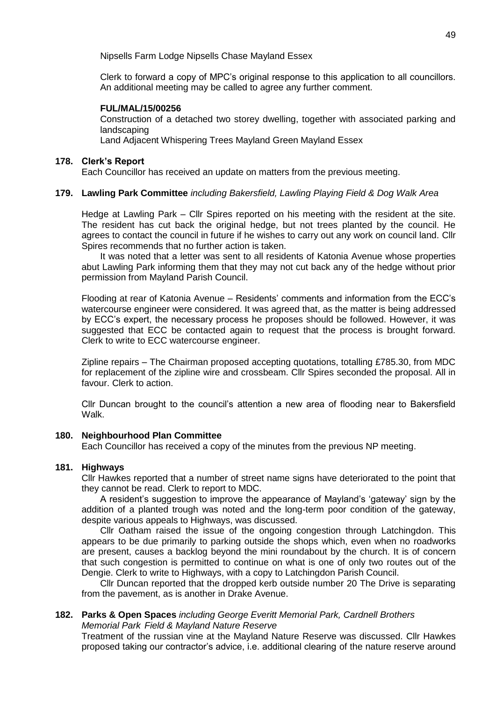Nipsells Farm Lodge Nipsells Chase Mayland Essex

Clerk to forward a copy of MPC's original response to this application to all councillors. An additional meeting may be called to agree any further comment.

### **FUL/MAL/15/00256**

Construction of a detached two storey dwelling, together with associated parking and landscaping

Land Adjacent Whispering Trees Mayland Green Mayland Essex

#### **178. Clerk's Report**

Each Councillor has received an update on matters from the previous meeting.

### **179. Lawling Park Committee** *including Bakersfield, Lawling Playing Field & Dog Walk Area*

Hedge at Lawling Park – Cllr Spires reported on his meeting with the resident at the site. The resident has cut back the original hedge, but not trees planted by the council. He agrees to contact the council in future if he wishes to carry out any work on council land. Cllr Spires recommends that no further action is taken.

It was noted that a letter was sent to all residents of Katonia Avenue whose properties abut Lawling Park informing them that they may not cut back any of the hedge without prior permission from Mayland Parish Council.

Flooding at rear of Katonia Avenue – Residents' comments and information from the ECC's watercourse engineer were considered. It was agreed that, as the matter is being addressed by ECC's expert, the necessary process he proposes should be followed. However, it was suggested that ECC be contacted again to request that the process is brought forward. Clerk to write to ECC watercourse engineer.

Zipline repairs – The Chairman proposed accepting quotations, totalling £785.30, from MDC for replacement of the zipline wire and crossbeam. Cllr Spires seconded the proposal. All in favour. Clerk to action.

Cllr Duncan brought to the council's attention a new area of flooding near to Bakersfield Walk.

#### **180. Neighbourhood Plan Committee**

Each Councillor has received a copy of the minutes from the previous NP meeting.

### **181. Highways**

Cllr Hawkes reported that a number of street name signs have deteriorated to the point that they cannot be read. Clerk to report to MDC.

A resident's suggestion to improve the appearance of Mayland's 'gateway' sign by the addition of a planted trough was noted and the long-term poor condition of the gateway, despite various appeals to Highways, was discussed.

Cllr Oatham raised the issue of the ongoing congestion through Latchingdon. This appears to be due primarily to parking outside the shops which, even when no roadworks are present, causes a backlog beyond the mini roundabout by the church. It is of concern that such congestion is permitted to continue on what is one of only two routes out of the Dengie. Clerk to write to Highways, with a copy to Latchingdon Parish Council.

Cllr Duncan reported that the dropped kerb outside number 20 The Drive is separating from the pavement, as is another in Drake Avenue.

### **182. Parks & Open Spaces** *including George Everitt Memorial Park, Cardnell Brothers Memorial Park Field & Mayland Nature Reserve*

Treatment of the russian vine at the Mayland Nature Reserve was discussed. Cllr Hawkes proposed taking our contractor's advice, i.e. additional clearing of the nature reserve around